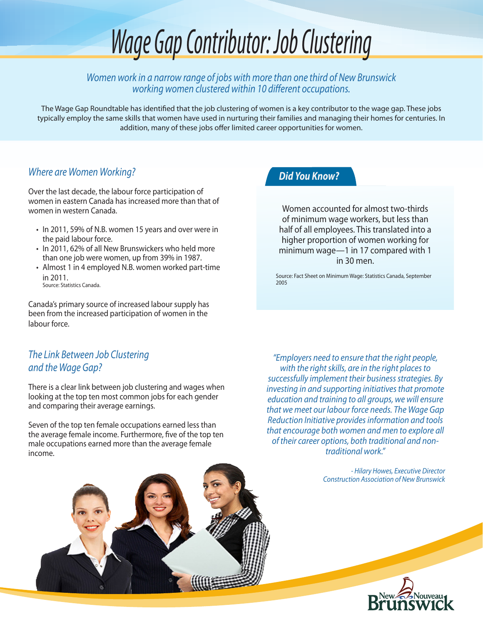# *Wage Gap Contributor: Job Clustering*

*Women work in a narrow range of jobs with more than one third of New Brunswick working women clustered within 10 different occupations.*

The Wage Gap Roundtable has identified that the job clustering of women is a key contributor to the wage gap. These jobs typically employ the same skills that women have used in nurturing their families and managing their homes for centuries. In addition, many of these jobs offer limited career opportunities for women.

## *Where are Women Working?*

Over the last decade, the labour force participation of women in eastern Canada has increased more than that of women in western Canada.

- In 2011, 59% of N.B. women 15 years and over were in the paid labour force.
- In 2011, 62% of all New Brunswickers who held more than one job were women, up from 39% in 1987.
- Almost 1 in 4 employed N.B. women worked part-time in 2011. Source: Statistics Canada.

Canada's primary source of increased labour supply has been from the increased participation of women in the labour force.

## *The Link Between Job Clustering and the Wage Gap?*

There is a clear link between job clustering and wages when looking at the top ten most common jobs for each gender and comparing their average earnings.

Seven of the top ten female occupations earned less than the average female income. Furthermore, five of the top ten male occupations earned more than the average female income.

## *Did You Know?*

Women accounted for almost two-thirds of minimum wage workers, but less than half of all employees. This translated into a higher proportion of women working for minimum wage—1 in 17 compared with 1 in 30 men.

Source: Fact Sheet on Minimum Wage: Statistics Canada, September 2005

*"Employers need to ensure that the right people, with the right skills, are in the right places to successfully implement their business strategies. By investing in and supporting initiatives that promote education and training to all groups, we will ensure that we meet our labour force needs. The Wage Gap Reduction Initiative provides information and tools that encourage both women and men to explore all of their career options, both traditional and nontraditional work."*

> *- Hilary Howes, Executive Director Construction Association of New Brunswick*